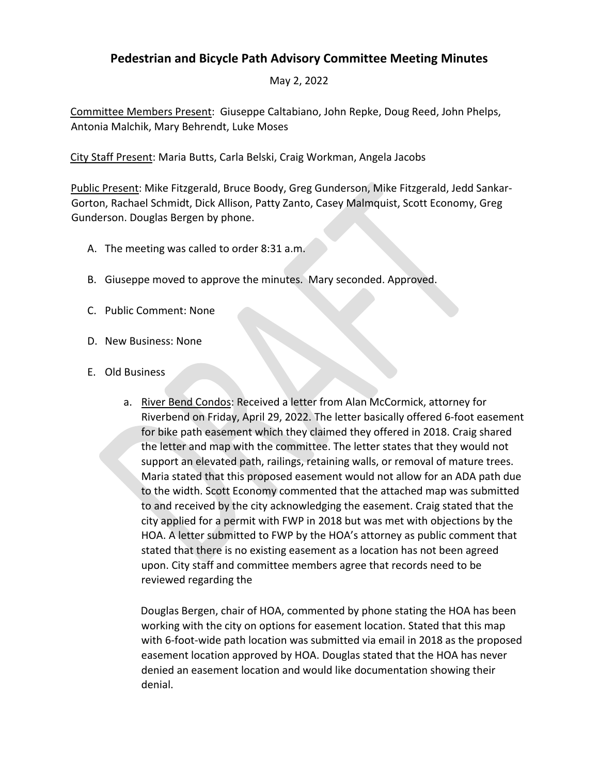## **Pedestrian and Bicycle Path Advisory Committee Meeting Minutes**

May 2, 2022

Committee Members Present: Giuseppe Caltabiano, John Repke, Doug Reed, John Phelps, Antonia Malchik, Mary Behrendt, Luke Moses

City Staff Present: Maria Butts, Carla Belski, Craig Workman, Angela Jacobs

Public Present: Mike Fitzgerald, Bruce Boody, Greg Gunderson, Mike Fitzgerald, Jedd Sankar-Gorton, Rachael Schmidt, Dick Allison, Patty Zanto, Casey Malmquist, Scott Economy, Greg Gunderson. Douglas Bergen by phone.

- A. The meeting was called to order 8:31 a.m.
- B. Giuseppe moved to approve the minutes. Mary seconded. Approved.
- C. Public Comment: None
- D. New Business: None
- E. Old Business
	- a. River Bend Condos: Received a letter from Alan McCormick, attorney for Riverbend on Friday, April 29, 2022. The letter basically offered 6-foot easement for bike path easement which they claimed they offered in 2018. Craig shared the letter and map with the committee. The letter states that they would not support an elevated path, railings, retaining walls, or removal of mature trees. Maria stated that this proposed easement would not allow for an ADA path due to the width. Scott Economy commented that the attached map was submitted to and received by the city acknowledging the easement. Craig stated that the city applied for a permit with FWP in 2018 but was met with objections by the HOA. A letter submitted to FWP by the HOA's attorney as public comment that stated that there is no existing easement as a location has not been agreed upon. City staff and committee members agree that records need to be reviewed regarding the

Douglas Bergen, chair of HOA, commented by phone stating the HOA has been working with the city on options for easement location. Stated that this map with 6-foot-wide path location was submitted via email in 2018 as the proposed easement location approved by HOA. Douglas stated that the HOA has never denied an easement location and would like documentation showing their denial.